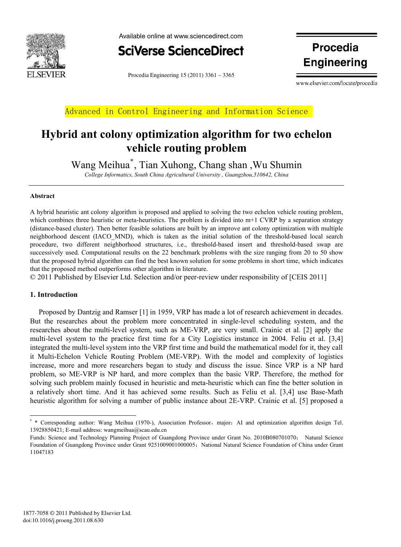



Procedia Engineering  $15(2011)$  3361 – 3365

**Engineering**

www.elsevier.com/locate/procedia

Advanced in Control Engineering and Information Science

## **Hybrid ant colony optimization algorithm for two echelon vehicle routing problem**

Wang Meihua\* , Tian Xuhong, Chang shan ,Wu Shumin

*College Informatics, South China Agricultural University , Guangzhou,510642, China* 

#### **Abstract**

A hybrid heuristic ant colony algorithm is proposed and applied to solving the two echelon vehicle routing problem, which combines three heuristic or meta-heuristics. The problem is divided into  $m+1$  CVRP by a separation strategy (distance-based cluster). Then better feasible solutions are built by an improve ant colony optimization with multiple neighborhood descent (IACO\_MND), which is taken as the initial solution of the threshold-based local search procedure, two different neighborhood structures, i.e., threshold-based insert and threshold-based swap are successively used. Computational results on the 22 benchmark problems with the size ranging from 20 to 50 show that the proposed hybrid algorithm can find the best known solution for some problems in short time, which indicates that the proposed method outperforms other algorithm in literature.

© 2011 Published by Elsevier Ltd. Selection and/or peer-review under responsibility of [CEIS 2011]

### **1. Introduction**

Proposed by Dantzig and Ramser [1] in 1959, VRP has made a lot of research achievement in decades. But the researches about the problem more concentrated in single-level scheduling system, and the researches about the multi-level system, such as ME-VRP, are very small. Crainic et al. [2] apply the multi-level system to the practice first time for a City Logistics instance in 2004. Feliu et al. [3,4] integrated the multi-level system into the VRP first time and build the mathematical model for it, they call it Multi-Echelon Vehicle Routing Problem (ME-VRP). With the model and complexity of logistics increase, more and more researchers began to study and discuss the issue. Since VRP is a NP hard problem, so ME-VRP is NP hard, and more complex than the basic VRP. Therefore, the method for solving such problem mainly focused in heuristic and meta-heuristic which can fine the better solution in a relatively short time. And it has achieved some results. Such as Feliu et al. [3,4] use Base-Math heuristic algorithm for solving a number of public instance about 2E-VRP. Crainic et al. [5] proposed a

<sup>\* \*</sup> Corresponding author: Wang Meihua (1970-), Association Professor, major: AI and optimization algorithm design Tel. 13928850421; E-mail address: wangmeihua@scau.edu.cn

Funds: Science and Technology Planning Project of Guangdong Province under Grant No. 2010B080701070; Natural Science Foundation of Guangdong Province under Grant 9251009001000005; National Natural Science Foundation of China under Grant 11047183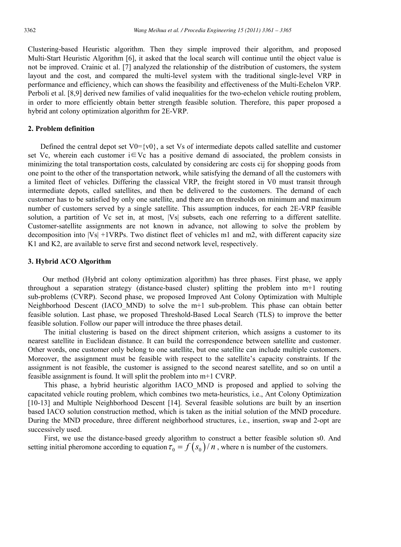Clustering-based Heuristic algorithm. Then they simple improved their algorithm, and proposed Multi-Start Heuristic Algorithm [6], it asked that the local search will continue until the object value is not be improved. Crainic et al. [7] analyzed the relationship of the distribution of customers, the system layout and the cost, and compared the multi-level system with the traditional single-level VRP in performance and efficiency, which can shows the feasibility and effectiveness of the Multi-Echelon VRP. Perboli et al. [8,9] derived new families of valid inequalities for the two-echelon vehicle routing problem, in order to more efficiently obtain better strength feasible solution. Therefore, this paper proposed a hybrid ant colony optimization algorithm for 2E-VRP.

#### **2. Problem definition**

Defined the central depot set  $V0 = \{v0\}$ , a set Vs of intermediate depots called satellite and customer set Vc, wherein each customer  $i \in Vc$  has a positive demand di associated, the problem consists in minimizing the total transportation costs, calculated by considering arc costs cij for shopping goods from one point to the other of the transportation network, while satisfying the demand of all the customers with a limited fleet of vehicles. Differing the classical VRP, the freight stored in V0 must transit through intermediate depots, called satellites, and then be delivered to the customers. The demand of each customer has to be satisfied by only one satellite, and there are on thresholds on minimum and maximum number of customers served by a single satellite. This assumption induces, for each 2E-VRP feasible solution, a partition of Vc set in, at most, |Vs| subsets, each one referring to a different satellite. Customer-satellite assignments are not known in advance, not allowing to solve the problem by decomposition into |Vs| +1VRPs. Two distinct fleet of vehicles m1 and m2, with different capacity size K1 and K2, are available to serve first and second network level, respectively.

#### **3. Hybrid ACO Algorithm**

Our method (Hybrid ant colony optimization algorithm) has three phases. First phase, we apply throughout a separation strategy (distance-based cluster) splitting the problem into m+1 routing sub-problems (CVRP). Second phase, we proposed Improved Ant Colony Optimization with Multiple Neighborhood Descent (IACO MND) to solve the  $m+1$  sub-problem. This phase can obtain better feasible solution. Last phase, we proposed Threshold-Based Local Search (TLS) to improve the better feasible solution. Follow our paper will introduce the three phases detail.

The initial clustering is based on the direct shipment criterion, which assigns a customer to its nearest satellite in Euclidean distance. It can build the correspondence between satellite and customer. Other words, one customer only belong to one satellite, but one satellite can include multiple customers. Moreover, the assignment must be feasible with respect to the satellite's capacity constraints. If the assignment is not feasible, the customer is assigned to the second nearest satellite, and so on until a feasible assignment is found. It will split the problem into m+1 CVRP.

This phase, a hybrid heuristic algorithm IACO\_MND is proposed and applied to solving the capacitated vehicle routing problem, which combines two meta-heuristics, i.e., Ant Colony Optimization [10-13] and Multiple Neighborhood Descent [14]. Several feasible solutions are built by an insertion based IACO solution construction method, which is taken as the initial solution of the MND procedure. During the MND procedure, three different neighborhood structures, i.e., insertion, swap and 2-opt are successively used.

First, we use the distance-based greedy algorithm to construct a better feasible solution s0. And setting initial pheromone according to equation  $\tau_0 = f(s_0)/n$ , where n is number of the customers.